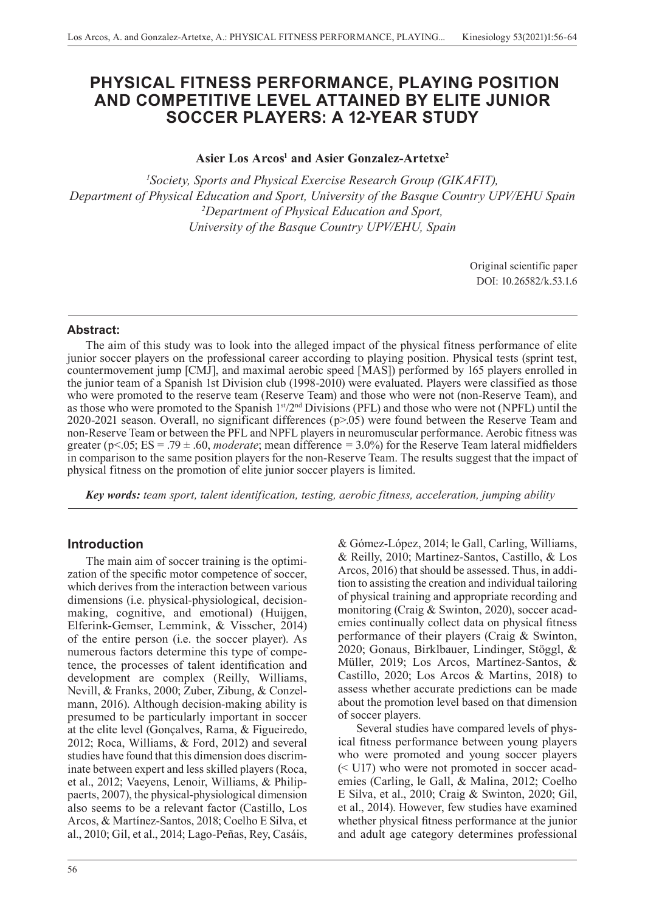# **PHYSICAL FITNESS PERFORMANCE, PLAYING POSITION AND COMPETITIVE LEVEL ATTAINED BY ELITE JUNIOR SOCCER PLAYERS: A 12-YEAR STUDY**

Asier Los Arcos<sup>1</sup> and Asier Gonzalez-Artetxe<sup>2</sup>

*1 Society, Sports and Physical Exercise Research Group (GIKAFIT), Department of Physical Education and Sport, University of the Basque Country UPV/EHU Spain 2 Department of Physical Education and Sport, University of the Basque Country UPV/EHU, Spain*

> Original scientific paper DOI: 10.26582/k.53.1.6

### **Abstract:**

The aim of this study was to look into the alleged impact of the physical fitness performance of elite junior soccer players on the professional career according to playing position. Physical tests (sprint test, countermovement jump [CMJ], and maximal aerobic speed [MAS]) performed by 165 players enrolled in the junior team of a Spanish 1st Division club (1998-2010) were evaluated. Players were classified as those who were promoted to the reserve team (Reserve Team) and those who were not (non-Reserve Team), and as those who were promoted to the Spanish 1<sup>st</sup>/2<sup>nd</sup> Divisions (PFL) and those who were not (NPFL) until the 2020-2021 season. Overall, no significant differences (p>.05) were found between the Reserve Team and non-Reserve Team or between the PFL and NPFL players in neuromuscular performance. Aerobic fitness was greater ( $p$ <.05; ES = .79  $\pm$ .60, *moderate*; mean difference = 3.0%) for the Reserve Team lateral midfielders in comparison to the same position players for the non-Reserve Team. The results suggest that the impact of physical fitness on the promotion of elite junior soccer players is limited.

*Key words: team sport, talent identification, testing, aerobic fitness, acceleration, jumping ability* 

# **Introduction**

The main aim of soccer training is the optimization of the specific motor competence of soccer, which derives from the interaction between various dimensions (i.e. physical-physiological, decisionmaking, cognitive, and emotional) (Huijgen, Elferink-Gemser, Lemmink, & Visscher, 2014) of the entire person (i.e. the soccer player). As numerous factors determine this type of competence, the processes of talent identification and development are complex (Reilly, Williams, Nevill, & Franks, 2000; Zuber, Zibung, & Conzelmann, 2016). Although decision-making ability is presumed to be particularly important in soccer at the elite level (Gonçalves, Rama, & Figueiredo, 2012; Roca, Williams, & Ford, 2012) and several studies have found that this dimension does discriminate between expert and less skilled players (Roca, et al., 2012; Vaeyens, Lenoir, Williams, & Philippaerts, 2007), the physical-physiological dimension also seems to be a relevant factor (Castillo, Los Arcos, & Martínez-Santos, 2018; Coelho E Silva, et al., 2010; Gil, et al., 2014; Lago-Peñas, Rey, Casáis,

56

& Gómez-López, 2014; le Gall, Carling, Williams, & Reilly, 2010; Martinez-Santos, Castillo, & Los Arcos, 2016) that should be assessed. Thus, in addition to assisting the creation and individual tailoring of physical training and appropriate recording and monitoring (Craig & Swinton, 2020), soccer academies continually collect data on physical fitness performance of their players (Craig & Swinton, 2020; Gonaus, Birklbauer, Lindinger, Stöggl, & Müller, 2019; Los Arcos, Martínez-Santos, & Castillo, 2020; Los Arcos & Martins, 2018) to assess whether accurate predictions can be made about the promotion level based on that dimension of soccer players.

Several studies have compared levels of physical fitness performance between young players who were promoted and young soccer players (< U17) who were not promoted in soccer academies (Carling, le Gall, & Malina, 2012; Coelho E Silva, et al., 2010; Craig & Swinton, 2020; Gil, et al., 2014). However, few studies have examined whether physical fitness performance at the junior and adult age category determines professional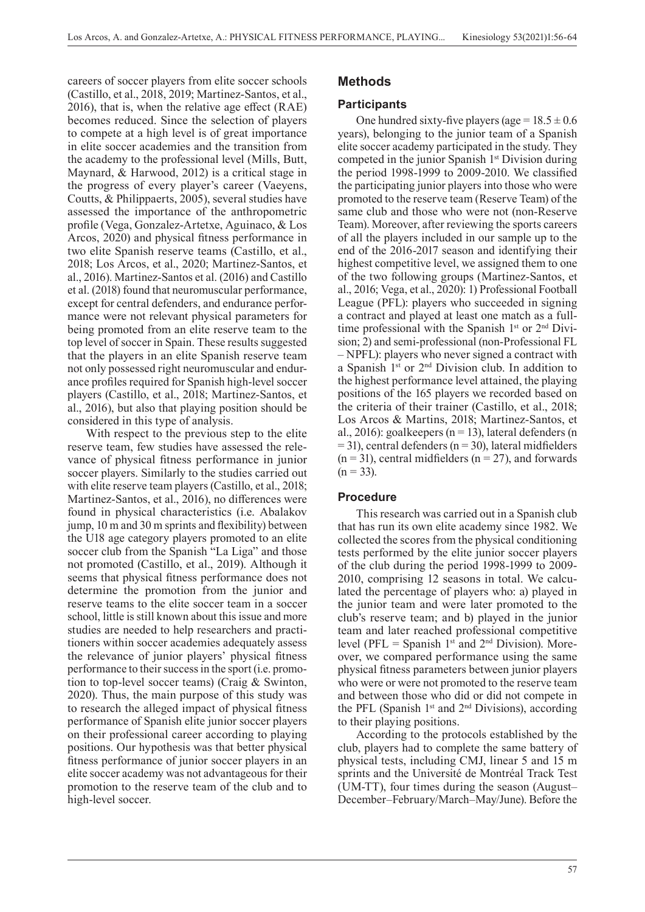careers of soccer players from elite soccer schools (Castillo, et al., 2018, 2019; Martinez-Santos, et al., 2016), that is, when the relative age effect (RAE) becomes reduced. Since the selection of players to compete at a high level is of great importance in elite soccer academies and the transition from the academy to the professional level (Mills, Butt, Maynard, & Harwood, 2012) is a critical stage in the progress of every player's career (Vaeyens, Coutts, & Philippaerts, 2005), several studies have assessed the importance of the anthropometric profile (Vega, Gonzalez-Artetxe, Aguinaco, & Los Arcos, 2020) and physical fitness performance in two elite Spanish reserve teams (Castillo, et al., 2018; Los Arcos, et al., 2020; Martinez-Santos, et al., 2016). Martinez-Santos et al. (2016) and Castillo et al. (2018) found that neuromuscular performance, except for central defenders, and endurance performance were not relevant physical parameters for being promoted from an elite reserve team to the top level of soccer in Spain. These results suggested that the players in an elite Spanish reserve team not only possessed right neuromuscular and endurance profiles required for Spanish high-level soccer players (Castillo, et al., 2018; Martinez-Santos, et al., 2016), but also that playing position should be considered in this type of analysis.

With respect to the previous step to the elite reserve team, few studies have assessed the relevance of physical fitness performance in junior soccer players. Similarly to the studies carried out with elite reserve team players (Castillo, et al., 2018; Martinez-Santos, et al., 2016), no differences were found in physical characteristics (i.e. Abalakov jump, 10 m and 30 m sprints and flexibility) between the U18 age category players promoted to an elite soccer club from the Spanish "La Liga" and those not promoted (Castillo, et al., 2019). Although it seems that physical fitness performance does not determine the promotion from the junior and reserve teams to the elite soccer team in a soccer school, little is still known about this issue and more studies are needed to help researchers and practitioners within soccer academies adequately assess the relevance of junior players' physical fitness performance to their success in the sport (i.e. promotion to top-level soccer teams) (Craig & Swinton, 2020). Thus, the main purpose of this study was to research the alleged impact of physical fitness performance of Spanish elite junior soccer players on their professional career according to playing positions. Our hypothesis was that better physical fitness performance of junior soccer players in an elite soccer academy was not advantageous for their promotion to the reserve team of the club and to high-level soccer.

# **Methods**

#### **Participants**

One hundred sixty-five players (age =  $18.5 \pm 0.6$ ) years), belonging to the junior team of a Spanish elite soccer academy participated in the study. They competed in the junior Spanish 1<sup>st</sup> Division during the period 1998-1999 to 2009-2010. We classified the participating junior players into those who were promoted to the reserve team (Reserve Team) of the same club and those who were not (non-Reserve Team). Moreover, after reviewing the sports careers of all the players included in our sample up to the end of the 2016-2017 season and identifying their highest competitive level, we assigned them to one of the two following groups (Martinez-Santos, et al., 2016; Vega, et al., 2020): 1) Professional Football League (PFL): players who succeeded in signing a contract and played at least one match as a fulltime professional with the Spanish  $1<sup>st</sup>$  or  $2<sup>nd</sup>$  Division; 2) and semi-professional (non-Professional FL – NPFL): players who never signed a contract with a Spanish  $1<sup>st</sup>$  or  $2<sup>nd</sup>$  Division club. In addition to the highest performance level attained, the playing positions of the 165 players we recorded based on the criteria of their trainer (Castillo, et al., 2018; Los Arcos & Martins, 2018; Martinez-Santos, et al., 2016): goalkeepers ( $n = 13$ ), lateral defenders (n  $= 31$ ), central defenders (n = 30), lateral midfielders  $(n = 31)$ , central midfielders  $(n = 27)$ , and forwards  $(n = 33)$ .

### **Procedure**

This research was carried out in a Spanish club that has run its own elite academy since 1982. We collected the scores from the physical conditioning tests performed by the elite junior soccer players of the club during the period 1998-1999 to 2009- 2010, comprising 12 seasons in total. We calculated the percentage of players who: a) played in the junior team and were later promoted to the club's reserve team; and b) played in the junior team and later reached professional competitive level (PFL = Spanish 1<sup>st</sup> and  $2<sup>nd</sup>$  Division). Moreover, we compared performance using the same physical fitness parameters between junior players who were or were not promoted to the reserve team and between those who did or did not compete in the PFL (Spanish  $1<sup>st</sup>$  and  $2<sup>nd</sup>$  Divisions), according to their playing positions.

According to the protocols established by the club, players had to complete the same battery of physical tests, including CMJ, linear 5 and 15 m sprints and the Université de Montréal Track Test (UM-TT), four times during the season (August– December–February/March–May/June). Before the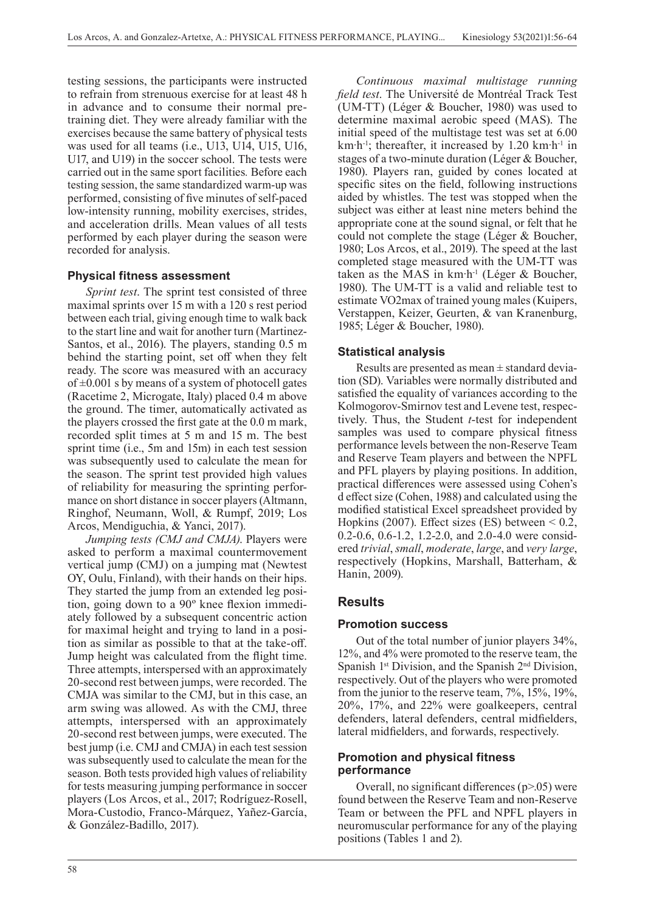testing sessions, the participants were instructed to refrain from strenuous exercise for at least 48 h in advance and to consume their normal pretraining diet. They were already familiar with the exercises because the same battery of physical tests was used for all teams (i.e., U13, U14, U15, U16, U17, and U19) in the soccer school. The tests were carried out in the same sport facilities*.* Before each testing session, the same standardized warm-up was performed, consisting of five minutes of self-paced low-intensity running, mobility exercises, strides, and acceleration drills. Mean values of all tests performed by each player during the season were recorded for analysis.

# **Physical fitness assessment**

*Sprint test*. The sprint test consisted of three maximal sprints over 15 m with a 120 s rest period between each trial, giving enough time to walk back to the start line and wait for another turn (Martinez-Santos, et al., 2016). The players, standing 0.5 m behind the starting point, set off when they felt ready. The score was measured with an accuracy of  $\pm 0.001$  s by means of a system of photocell gates (Racetime 2, Microgate, Italy) placed 0.4 m above the ground. The timer, automatically activated as the players crossed the first gate at the 0.0 m mark, recorded split times at 5 m and 15 m. The best sprint time (i.e., 5m and 15m) in each test session was subsequently used to calculate the mean for the season. The sprint test provided high values of reliability for measuring the sprinting performance on short distance in soccer players (Altmann, Ringhof, Neumann, Woll, & Rumpf, 2019; Los Arcos, Mendiguchia, & Yanci, 2017).

*Jumping tests (CMJ and CMJA)*. Players were asked to perform a maximal countermovement vertical jump (CMJ) on a jumping mat (Newtest OY, Oulu, Finland), with their hands on their hips. They started the jump from an extended leg position, going down to a 90º knee flexion immediately followed by a subsequent concentric action for maximal height and trying to land in a position as similar as possible to that at the take-off. Jump height was calculated from the flight time. Three attempts, interspersed with an approximately 20-second rest between jumps, were recorded. The CMJA was similar to the CMJ, but in this case, an arm swing was allowed. As with the CMJ, three attempts, interspersed with an approximately 20-second rest between jumps, were executed. The best jump (i.e. CMJ and CMJA) in each test session was subsequently used to calculate the mean for the season. Both tests provided high values of reliability for tests measuring jumping performance in soccer players (Los Arcos, et al., 2017; Rodríguez-Rosell, Mora-Custodio, Franco-Márquez, Yañez-García, & González-Badillo, 2017).

*Continuous maximal multistage running field test*. The Université de Montréal Track Test (UM-TT) (Léger & Boucher, 1980) was used to determine maximal aerobic speed (MAS). The initial speed of the multistage test was set at 6.00  $km \cdot h^{-1}$ ; thereafter, it increased by 1.20 km $\cdot h^{-1}$  in stages of a two-minute duration (Léger & Boucher, 1980). Players ran, guided by cones located at specific sites on the field, following instructions aided by whistles. The test was stopped when the subject was either at least nine meters behind the appropriate cone at the sound signal, or felt that he could not complete the stage (Léger & Boucher, 1980; Los Arcos, et al., 2019). The speed at the last completed stage measured with the UM-TT was taken as the MAS in  $km \cdot h^{-1}$  (Léger & Boucher, 1980). The UM-TT is a valid and reliable test to estimate VO2max of trained young males (Kuipers, Verstappen, Keizer, Geurten, & van Kranenburg, 1985; Léger & Boucher, 1980).

# **Statistical analysis**

Results are presented as mean  $\pm$  standard deviation (SD). Variables were normally distributed and satisfied the equality of variances according to the Kolmogorov-Smirnov test and Levene test, respectively. Thus, the Student *t*-test for independent samples was used to compare physical fitness performance levels between the non-Reserve Team and Reserve Team players and between the NPFL and PFL players by playing positions. In addition, practical differences were assessed using Cohen's d effect size (Cohen, 1988) and calculated using the modified statistical Excel spreadsheet provided by Hopkins (2007). Effect sizes (ES) between  $< 0.2$ , 0.2-0.6, 0.6-1.2, 1.2-2.0, and 2.0-4.0 were considered *trivial*, *small*, *moderate*, *large*, and *very large*, respectively (Hopkins, Marshall, Batterham, & Hanin, 2009).

# **Results**

### **Promotion success**

Out of the total number of junior players 34%, 12%, and 4% were promoted to the reserve team, the Spanish  $1<sup>st</sup> Division$ , and the Spanish  $2<sup>nd</sup> Division$ , respectively. Out of the players who were promoted from the junior to the reserve team, 7%, 15%, 19%, 20%, 17%, and 22% were goalkeepers, central defenders, lateral defenders, central midfielders, lateral midfielders, and forwards, respectively.

### **Promotion and physical fitness performance**

Overall, no significant differences  $(p>0.05)$  were found between the Reserve Team and non-Reserve Team or between the PFL and NPFL players in neuromuscular performance for any of the playing positions (Tables 1 and 2).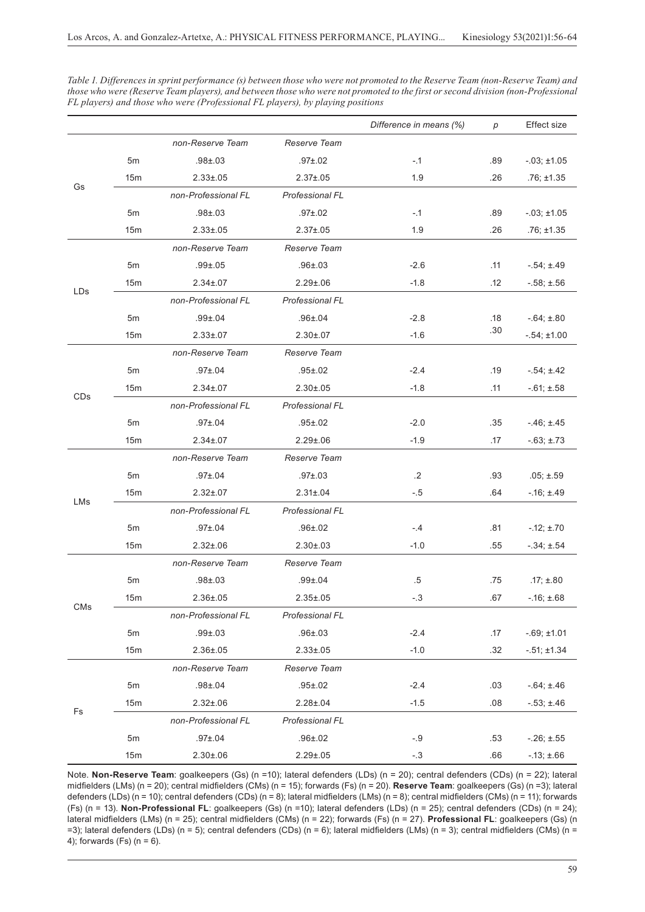|     |                 |                     |                        | Difference in means (%) | р   | Effect size       |
|-----|-----------------|---------------------|------------------------|-------------------------|-----|-------------------|
|     |                 | non-Reserve Team    | Reserve Team           |                         |     |                   |
| Gs  | 5m              | $.98 + .03$         | $.97{\pm}.02$          | $-.1$                   | .89 | $-03; \pm 1.05$   |
|     | 15 <sub>m</sub> | $2.33 \pm 0.05$     | $2.37 \pm .05$         | 1.9                     | .26 | $.76; \pm 1.35$   |
|     |                 | non-Professional FL | Professional FL        |                         |     |                   |
|     | 5 <sub>m</sub>  | $.98 \pm .03$       | $.97 \pm .02$          | $-.1$                   | .89 | $-03; \pm 1.05$   |
|     | 15m             | $2.33 \pm 0.05$     | $2.37 \pm .05$         | 1.9                     | .26 | $.76; \pm 1.35$   |
| LDs |                 | non-Reserve Team    | Reserve Team           |                         |     |                   |
|     | 5m              | $.99 \pm .05$       | $.96 \pm .03$          | $-2.6$                  | .11 | $-54; \pm 49$     |
|     | 15 <sub>m</sub> | $2.34 \pm 0.07$     | $2.29 \pm .06$         | $-1.8$                  | .12 | $-58; \pm 56$     |
|     |                 | non-Professional FL | <b>Professional FL</b> |                         |     |                   |
|     | 5m              | $.99 \pm .04$       | $.96 \pm .04$          | $-2.8$                  | .18 | $-.64; \pm .80$   |
|     | 15m             | $2.33 \pm 0.07$     | $2.30 \pm 0.07$        | $-1.6$                  | .30 | $-.54; \pm 1.00$  |
| CDs |                 | non-Reserve Team    | Reserve Team           |                         |     |                   |
|     | 5m              | $.97 \pm .04$       | $.95 \pm .02$          | $-2.4$                  | .19 | $-.54; \pm .42$   |
|     | 15m             | $2.34 \pm 0.07$     | $2.30 \pm 0.05$        | $-1.8$                  | .11 | $-.61; \pm .58$   |
|     |                 | non-Professional FL | Professional FL        |                         |     |                   |
|     | 5m              | $.97 \pm .04$       | $.95 \pm .02$          | $-2.0$                  | .35 | $-46; \pm 45$     |
|     | 15m             | $2.34 \pm 0.07$     | $2.29 \pm .06$         | $-1.9$                  | .17 | $-63; \pm 73$     |
| LMs |                 | non-Reserve Team    | Reserve Team           |                         |     |                   |
|     | 5m              | $.97 \pm .04$       | $.97 \pm .03$          | $\cdot$                 | .93 | $.05; \pm .59$    |
|     | 15m             | $2.32 \pm .07$      | $2.31 \pm .04$         | $-.5$                   | .64 | $-16; \pm 49$     |
|     |                 | non-Professional FL | Professional FL        |                         |     |                   |
|     | 5 <sub>m</sub>  | $.97 \pm .04$       | $.96 \pm .02$          | $-.4$                   | .81 | $-.12; \pm .70$   |
|     | 15m             | $2.32 \pm .06$      | $2.30 \pm .03$         | $-1.0$                  | .55 | $-.34; \pm .54$   |
| CMs |                 | non-Reserve Team    | Reserve Team           |                         |     |                   |
|     | 5m              | $.98 + .03$         | $.99 \pm .04$          | $.5\,$                  | .75 | $.17; \pm .80$    |
|     | 15 <sub>m</sub> | $2.36 \pm .05$      | $2.35 \pm .05$         | $-.3$                   | .67 | $-16; \pm .68$    |
|     |                 | non-Professional FL | Professional FL        |                         |     |                   |
|     | 5m              | $.99 \pm .03$       | $.96 \pm .03$          | $-2.4$                  | .17 | $-.69; \pm 1.01$  |
|     | 15m             | $2.36 \pm .05$      | $2.33 \pm .05$         | $-1.0$                  | .32 | $-0.51; \pm 1.34$ |
| Fs  |                 | non-Reserve Team    | Reserve Team           |                         |     |                   |
|     | 5m              | $.98 \pm .04$       | $.95 \pm .02$          | $-2.4$                  | .03 | $-.64; \pm .46$   |
|     | 15m             | $2.32 \pm .06$      | $2.28 \pm .04$         | $-1.5$                  | .08 | $-.53; \pm .46$   |
|     |                 | non-Professional FL | Professional FL        |                         |     |                   |
|     | 5m              | $.97 + .04$         | $.96 + .02$            | $-.9$                   | .53 | $-.26; \pm .55$   |
|     | 15m             | $2.30 \pm .06$      | $2.29 \pm .05$         | $-.3$                   | .66 | $-.13; \pm .66$   |

*Table 1. Differences in sprint performance (s) between those who were not promoted to the Reserve Team (non-Reserve Team) and those who were (Reserve Team players), and between those who were not promoted to the first or second division (non-Professional FL players) and those who were (Professional FL players), by playing positions*

Note. **Non-Reserve Team**: goalkeepers (Gs) (n =10); lateral defenders (LDs) (n = 20); central defenders (CDs) (n = 22); lateral midfielders (LMs) (n = 20); central midfielders (CMs) (n = 15); forwards (Fs) (n = 20). **Reserve Team**: goalkeepers (Gs) (n =3); lateral defenders (LDs) (n = 10); central defenders (CDs) (n = 8); lateral midfielders (LMs) (n = 8); central midfielders (CMs) (n = 11); forwards (Fs) (n = 13). **Non-Professional FL**: goalkeepers (Gs) (n =10); lateral defenders (LDs) (n = 25); central defenders (CDs) (n = 24); lateral midfielders (LMs) (n = 25); central midfielders (CMs) (n = 22); forwards (Fs) (n = 27). **Professional FL**: goalkeepers (Gs) (n =3); lateral defenders (LDs) (n = 5); central defenders (CDs) (n = 6); lateral midfielders (LMs) (n = 3); central midfielders (CMs) (n = 4); forwards (Fs)  $(n = 6)$ .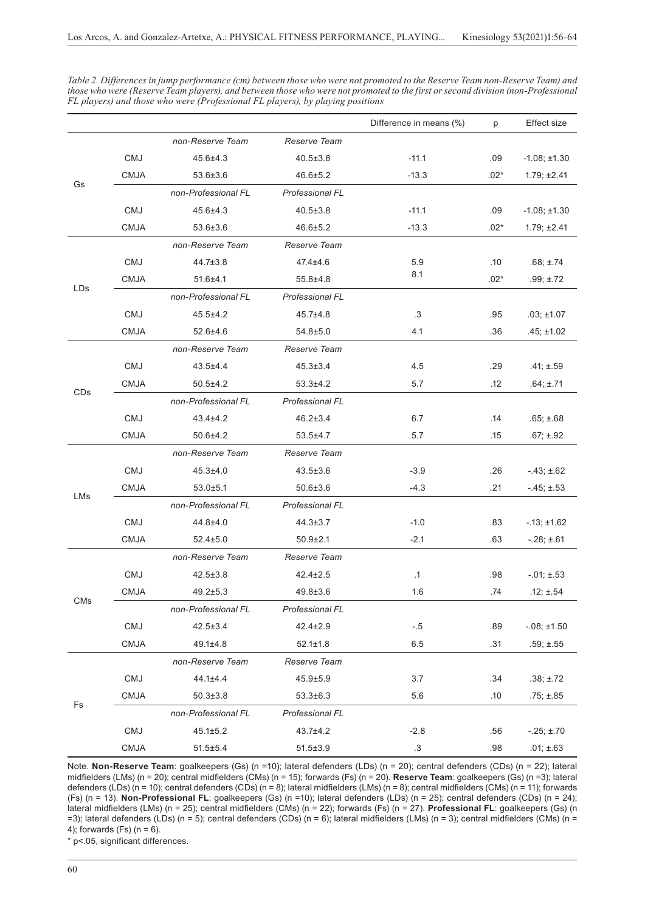Difference in means (%) p Effect size Gs *non-Reserve Team Reserve Team* CMJ 45.6±4.3 40.5±3.8 -11.1 .09 -1.08; ±1.30 CMJA 53.6±3.6 46.6±5.2 -13.3 .02\* 1.79; ±2.41 *non-Professional FL Professional FL* CMJ 45.6±4.3 40.5±3.8 -11.1 .09 -1.08; ±1.30 CMJA 53.6±3.6 46.6±5.2 -13.3 .02\* 1.79; ±2.41 LDs *non-Reserve Team Reserve Team* CMJ 44.7±3.8 47.4±4.6 5.9 .10 .68; ±.74 CMJA 51.6±4.1 55.8±4.8  $8.1$  .02\* .99; ±.72 *non-Professional FL Professional FL* CMJ 45.5±4.2 45.7±4.8 .3 .95 .03; ±1.07 CMJA 52.6±4.6 54.8±5.0 4.1 .36 .45; ±1.02 CDs *non-Reserve Team Reserve Team* CMJ 43.5±4.4 45.3±3.4 4.5 .29 .41; ±.59 CMJA 50.5±4.2 53.3±4.2 5.7 .12 .64; ±.71 *non-Professional FL Professional FL* CMJ 43.4±4.2 46.2±3.4 6.7 .14 .65; ±.68 CMJA 50.6±4.2 53.5±4.7 5.7 .15 .67; ±.92 LMs *non-Reserve Team Reserve Team* CMJ 45.3±4.0 43.5±3.6 -3.9 .26 -.43; ±.62 CMJA 53.0±5.1 50.6±3.6 -4.3 -4.3 .21 -.45; ±.53 *non-Professional FL Professional FL* CMJ 44.8±4.0 44.3±3.7 -1.0 .83 -13; ±1.62 CMJA 52.4±5.0 50.9±2.1 -2.1 .63 -.28; ±.61 C<sub>Ms</sub> *non-Reserve Team Reserve Team* CMJ 42.5±3.8 42.4±2.5 .1 .98 -.01; ±.53 CMJA 49.2±5.3 49.8±3.6 1.6 .74 .12; ±.54 *non-Professional FL Professional FL* CMJ 42.5±3.4 42.4±2.9 -.5 .89 -.08; ±1.50 CMJA 49.1±4.8 52.1±1.8 6.5 .31 .59; ±.55 Fs *non-Reserve Team Reserve Team* CMJ 44.1±4.4 45.9±5.9 3.7 .34 .38; ±.72 CMJA 50.3±3.8 53.3±6.3 5.6 .10 .75; ±.85 *non-Professional FL Professional FL* CMJ 45.1±5.2 43.7±4.2 -2.8 .56 -.25; ±.70

*Table 2. Differences in jump performance (cm) between those who were not promoted to the Reserve Team non-Reserve Team) and those who were (Reserve Team players), and between those who were not promoted to the first or second division (non-Professional FL players) and those who were (Professional FL players), by playing positions*

Note. **Non-Reserve Team**: goalkeepers (Gs) (n =10); lateral defenders (LDs) (n = 20); central defenders (CDs) (n = 22); lateral midfielders (LMs) (n = 20); central midfielders (CMs) (n = 15); forwards (Fs) (n = 20). **Reserve Team**: goalkeepers (Gs) (n =3); lateral defenders (LDs) (n = 10); central defenders (CDs) (n = 8); lateral midfielders (LMs) (n = 8); central midfielders (CMs) (n = 11); forwards (Fs) (n = 13). **Non-Professional FL**: goalkeepers (Gs) (n =10); lateral defenders (LDs) (n = 25); central defenders (CDs) (n = 24); lateral midfielders (LMs) (n = 25); central midfielders (CMs) (n = 22); forwards (Fs) (n = 27). **Professional FL**: goalkeepers (Gs) (n =3); lateral defenders (LDs) (n = 5); central defenders (CDs) (n = 6); lateral midfielders (LMs) (n = 3); central midfielders (CMs) (n = 4); forwards (Fs) (n = 6).

CMJA 51.5±5.4 51.5±3.9 .3 .98 .01; ±.63

\* p<.05, significant differences.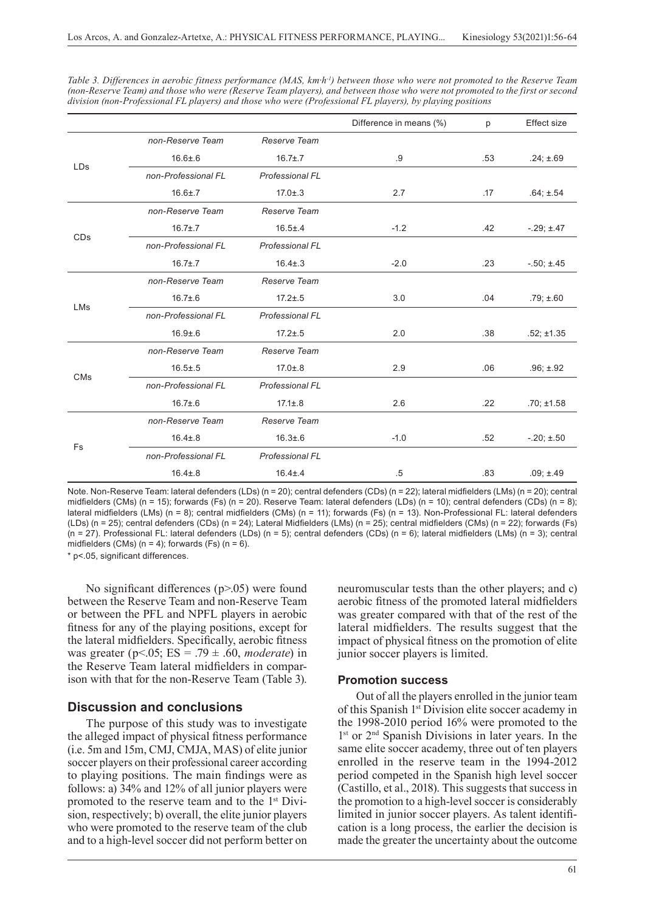|                       |                     |                        | Difference in means (%) | p   | <b>Effect size</b> |
|-----------------------|---------------------|------------------------|-------------------------|-----|--------------------|
|                       | non-Reserve Team    | Reserve Team           |                         |     |                    |
|                       | $16.6 \pm .6$       | $16.7 \pm .7$          | .9                      | .53 | $.24; \pm .69$     |
| <b>LDs</b>            | non-Professional FL | <b>Professional FL</b> |                         |     |                    |
|                       | $16.6 \pm .7$       | $17.0 \pm .3$          | 2.7                     | .17 | $.64; \pm .54$     |
|                       | non-Reserve Team    | Reserve Team           |                         |     |                    |
|                       | $16.7 \pm .7$       | $16.5 \pm .4$          | $-1.2$                  | .42 | $-.29; \pm .47$    |
| CDs                   | non-Professional FL | <b>Professional FL</b> |                         |     |                    |
|                       | $16.7 \pm .7$       | $16.4 \pm .3$          | $-2.0$                  | .23 | $-.50; \pm .45$    |
|                       | non-Reserve Team    | Reserve Team           |                         |     |                    |
| LMs                   | $16.7 \pm .6$       | $17.2 \pm .5$          | 3.0                     | .04 | $.79; \pm .60$     |
|                       | non-Professional FL | <b>Professional FL</b> |                         |     |                    |
|                       | $16.9 + 6$          | $17.2 \pm .5$          | 2.0                     | .38 | $.52; \pm 1.35$    |
|                       | non-Reserve Team    | Reserve Team           |                         |     |                    |
| <b>CM<sub>s</sub></b> | $16.5 \pm .5$       | $17.0 \pm .8$          | 2.9                     | .06 | $.96; \pm .92$     |
|                       | non-Professional FL | <b>Professional FL</b> |                         |     |                    |
|                       | $16.7 \pm .6$       | $17.1 \pm .8$          | 2.6                     | .22 | $.70; \pm 1.58$    |
|                       | non-Reserve Team    | Reserve Team           |                         |     |                    |
| Fs                    | $16.4 \pm .8$       | $16.3 + 6$             | $-1.0$                  | .52 | $-.20; \pm .50$    |
|                       | non-Professional FL | <b>Professional FL</b> |                         |     |                    |
|                       | $16.4 \pm .8$       | $16.4 \pm .4$          | .5                      | .83 | $.09; \pm .49$     |

*Table 3. Differences in aerobic fitness performance (MAS, km·h-1) between those who were not promoted to the Reserve Team (non-Reserve Team) and those who were (Reserve Team players), and between those who were not promoted to the first or second division (non-Professional FL players) and those who were (Professional FL players), by playing positions*

Note. Non-Reserve Team: lateral defenders (LDs) (n = 20); central defenders (CDs) (n = 22); lateral midfielders (LMs) (n = 20); central midfielders (CMs) (n = 15); forwards (Fs) (n = 20). Reserve Team: lateral defenders (LDs) (n = 10); central defenders (CDs) (n = 8); lateral midfielders (LMs) (n = 8); central midfielders (CMs) (n = 11); forwards (Fs) (n = 13). Non-Professional FL: lateral defenders (LDs) (n = 25); central defenders (CDs) (n = 24); Lateral Midfielders (LMs) (n = 25); central midfielders (CMs) (n = 22); forwards (Fs) (n = 27). Professional FL: lateral defenders (LDs) (n = 5); central defenders (CDs) (n = 6); lateral midfielders (LMs) (n = 3); central midfielders (CMs) ( $n = 4$ ); forwards (Fs) ( $n = 6$ ).

\* p<.05, significant differences.

No significant differences (p>.05) were found between the Reserve Team and non-Reserve Team or between the PFL and NPFL players in aerobic fitness for any of the playing positions, except for the lateral midfielders. Specifically, aerobic fitness was greater (p<.05; ES = .79 ± .60, *moderate*) in the Reserve Team lateral midfielders in comparison with that for the non-Reserve Team (Table 3).

### **Discussion and conclusions**

The purpose of this study was to investigate the alleged impact of physical fitness performance (i.e. 5m and 15m, CMJ, CMJA, MAS) of elite junior soccer players on their professional career according to playing positions. The main findings were as follows: a) 34% and 12% of all junior players were promoted to the reserve team and to the 1<sup>st</sup> Division, respectively; b) overall, the elite junior players who were promoted to the reserve team of the club and to a high-level soccer did not perform better on

neuromuscular tests than the other players; and c) aerobic fitness of the promoted lateral midfielders was greater compared with that of the rest of the lateral midfielders. The results suggest that the impact of physical fitness on the promotion of elite junior soccer players is limited.

#### **Promotion success**

Out of all the players enrolled in the junior team of this Spanish 1<sup>st</sup> Division elite soccer academy in the 1998-2010 period 16% were promoted to the 1<sup>st</sup> or 2<sup>nd</sup> Spanish Divisions in later years. In the same elite soccer academy, three out of ten players enrolled in the reserve team in the 1994-2012 period competed in the Spanish high level soccer (Castillo, et al., 2018). This suggests that success in the promotion to a high-level soccer is considerably limited in junior soccer players. As talent identification is a long process, the earlier the decision is made the greater the uncertainty about the outcome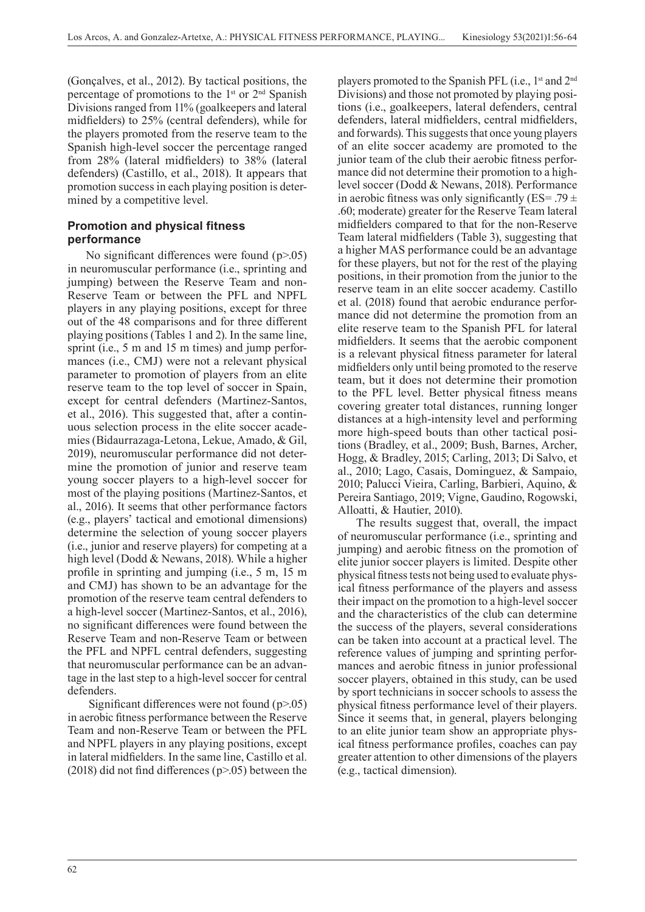(Gonçalves, et al., 2012). By tactical positions, the percentage of promotions to the  $1<sup>st</sup>$  or  $2<sup>nd</sup>$  Spanish Divisions ranged from 11% (goalkeepers and lateral midfielders) to 25% (central defenders), while for the players promoted from the reserve team to the Spanish high-level soccer the percentage ranged from 28% (lateral midfielders) to 38% (lateral defenders) (Castillo, et al., 2018). It appears that promotion success in each playing position is determined by a competitive level.

# **Promotion and physical fitness performance**

No significant differences were found (p>.05) in neuromuscular performance (i.e., sprinting and jumping) between the Reserve Team and non-Reserve Team or between the PFL and NPFL players in any playing positions, except for three out of the 48 comparisons and for three different playing positions (Tables 1 and 2). In the same line, sprint (i.e., 5 m and 15 m times) and jump performances (i.e., CMJ) were not a relevant physical parameter to promotion of players from an elite reserve team to the top level of soccer in Spain, except for central defenders (Martinez-Santos, et al., 2016). This suggested that, after a continuous selection process in the elite soccer academies (Bidaurrazaga-Letona, Lekue, Amado, & Gil, 2019), neuromuscular performance did not determine the promotion of junior and reserve team young soccer players to a high-level soccer for most of the playing positions (Martinez-Santos, et al., 2016). It seems that other performance factors (e.g., players' tactical and emotional dimensions) determine the selection of young soccer players (i.e., junior and reserve players) for competing at a high level (Dodd & Newans, 2018). While a higher profile in sprinting and jumping (i.e., 5 m, 15 m and CMJ) has shown to be an advantage for the promotion of the reserve team central defenders to a high-level soccer (Martinez-Santos, et al., 2016), no significant differences were found between the Reserve Team and non-Reserve Team or between the PFL and NPFL central defenders, suggesting that neuromuscular performance can be an advantage in the last step to a high-level soccer for central defenders.

 Significant differences were not found (p>.05) in aerobic fitness performance between the Reserve Team and non-Reserve Team or between the PFL and NPFL players in any playing positions, except in lateral midfielders. In the same line, Castillo et al. (2018) did not find differences ( $p$ >.05) between the

players promoted to the Spanish PFL (i.e., 1st and 2nd Divisions) and those not promoted by playing positions (i.e., goalkeepers, lateral defenders, central defenders, lateral midfielders, central midfielders, and forwards). This suggests that once young players of an elite soccer academy are promoted to the junior team of the club their aerobic fitness performance did not determine their promotion to a highlevel soccer (Dodd & Newans, 2018). Performance in aerobic fitness was only significantly (ES= .79  $\pm$ .60; moderate) greater for the Reserve Team lateral midfielders compared to that for the non-Reserve Team lateral midfielders (Table 3), suggesting that a higher MAS performance could be an advantage for these players, but not for the rest of the playing positions, in their promotion from the junior to the reserve team in an elite soccer academy. Castillo et al. (2018) found that aerobic endurance performance did not determine the promotion from an elite reserve team to the Spanish PFL for lateral midfielders. It seems that the aerobic component is a relevant physical fitness parameter for lateral midfielders only until being promoted to the reserve team, but it does not determine their promotion to the PFL level. Better physical fitness means covering greater total distances, running longer distances at a high-intensity level and performing more high-speed bouts than other tactical positions (Bradley, et al., 2009; Bush, Barnes, Archer, Hogg, & Bradley, 2015; Carling, 2013; Di Salvo, et al., 2010; Lago, Casais, Dominguez, & Sampaio, 2010; Palucci Vieira, Carling, Barbieri, Aquino, & Pereira Santiago, 2019; Vigne, Gaudino, Rogowski, Alloatti, & Hautier, 2010).

The results suggest that, overall, the impact of neuromuscular performance (i.e., sprinting and jumping) and aerobic fitness on the promotion of elite junior soccer players is limited. Despite other physical fitness tests not being used to evaluate physical fitness performance of the players and assess their impact on the promotion to a high-level soccer and the characteristics of the club can determine the success of the players, several considerations can be taken into account at a practical level. The reference values of jumping and sprinting performances and aerobic fitness in junior professional soccer players, obtained in this study, can be used by sport technicians in soccer schools to assess the physical fitness performance level of their players. Since it seems that, in general, players belonging to an elite junior team show an appropriate physical fitness performance profiles, coaches can pay greater attention to other dimensions of the players (e.g., tactical dimension).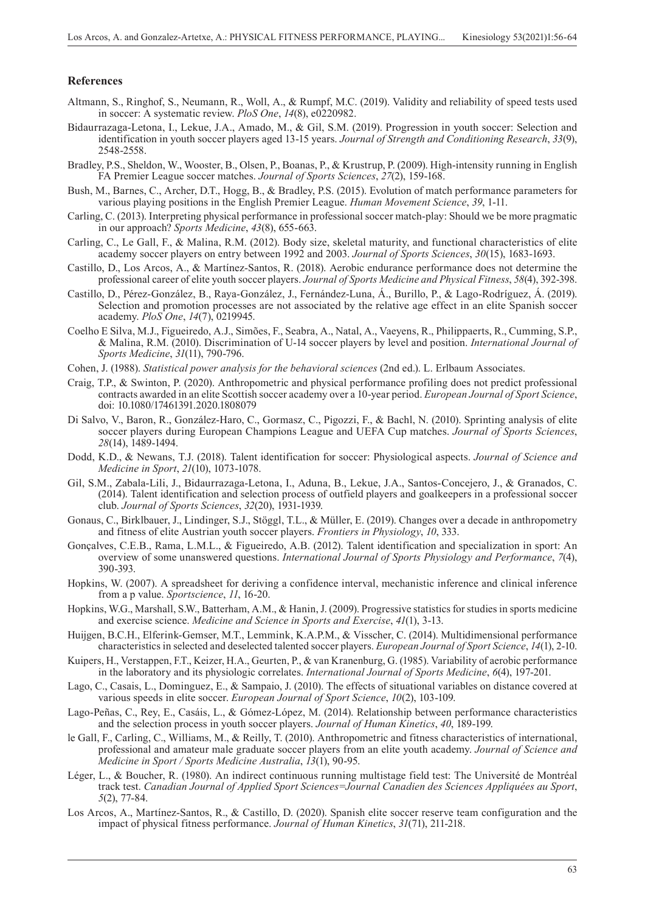#### **References**

- Altmann, S., Ringhof, S., Neumann, R., Woll, A., & Rumpf, M.C. (2019). Validity and reliability of speed tests used in soccer: A systematic review. *PloS One*, *14*(8), e0220982.
- Bidaurrazaga-Letona, I., Lekue, J.A., Amado, M., & Gil, S.M. (2019). Progression in youth soccer: Selection and identification in youth soccer players aged 13-15 years. *Journal of Strength and Conditioning Research*, *33*(9), 2548-2558.
- Bradley, P.S., Sheldon, W., Wooster, B., Olsen, P., Boanas, P., & Krustrup, P. (2009). High-intensity running in English FA Premier League soccer matches. *Journal of Sports Sciences*, *27*(2), 159-168.
- Bush, M., Barnes, C., Archer, D.T., Hogg, B., & Bradley, P.S. (2015). Evolution of match performance parameters for various playing positions in the English Premier League. *Human Movement Science*, *39*, 1-11.
- Carling, C. (2013). Interpreting physical performance in professional soccer match-play: Should we be more pragmatic in our approach? *Sports Medicine*, *43*(8), 655-663.
- Carling, C., Le Gall, F., & Malina, R.M. (2012). Body size, skeletal maturity, and functional characteristics of elite academy soccer players on entry between 1992 and 2003. *Journal of Sports Sciences*, *30*(15), 1683-1693.
- Castillo, D., Los Arcos, A., & Martínez-Santos, R. (2018). Aerobic endurance performance does not determine the professional career of elite youth soccer players. *Journal of Sports Medicine and Physical Fitness*, *58*(4), 392-398.
- Castillo, D., Pérez-González, B., Raya-González, J., Fernández-Luna, Á., Burillo, P., & Lago-Rodríguez, Á. (2019). Selection and promotion processes are not associated by the relative age effect in an elite Spanish soccer academy. *PloS One*, *14*(7), 0219945.
- Coelho E Silva, M.J., Figueiredo, A.J., Simões, F., Seabra, A., Natal, A., Vaeyens, R., Philippaerts, R., Cumming, S.P., & Malina, R.M. (2010). Discrimination of U-14 soccer players by level and position. *International Journal of Sports Medicine*, *31*(11), 790-796.
- Cohen, J. (1988). *Statistical power analysis for the behavioral sciences* (2nd ed.). L. Erlbaum Associates.
- Craig, T.P., & Swinton, P. (2020). Anthropometric and physical performance profiling does not predict professional contracts awarded in an elite Scottish soccer academy over a 10-year period. *European Journal of Sport Science*, doi: 10.1080/17461391.2020.1808079
- Di Salvo, V., Baron, R., González-Haro, C., Gormasz, C., Pigozzi, F., & Bachl, N. (2010). Sprinting analysis of elite soccer players during European Champions League and UEFA Cup matches. *Journal of Sports Sciences*, *28*(14), 1489-1494.
- Dodd, K.D., & Newans, T.J. (2018). Talent identification for soccer: Physiological aspects. *Journal of Science and Medicine in Sport*, *21*(10), 1073-1078.
- Gil, S.M., Zabala-Lili, J., Bidaurrazaga-Letona, I., Aduna, B., Lekue, J.A., Santos-Concejero, J., & Granados, C. (2014). Talent identification and selection process of outfield players and goalkeepers in a professional soccer club. *Journal of Sports Sciences*, *32*(20), 1931-1939.
- Gonaus, C., Birklbauer, J., Lindinger, S.J., Stöggl, T.L., & Müller, E. (2019). Changes over a decade in anthropometry and fitness of elite Austrian youth soccer players. *Frontiers in Physiology*, *10*, 333.
- Gonçalves, C.E.B., Rama, L.M.L., & Figueiredo, A.B. (2012). Talent identification and specialization in sport: An overview of some unanswered questions. *International Journal of Sports Physiology and Performance*, *7*(4), 390-393.
- Hopkins, W. (2007). A spreadsheet for deriving a confidence interval, mechanistic inference and clinical inference from a p value. *Sportscience*, *11*, 16-20.
- Hopkins, W.G., Marshall, S.W., Batterham, A.M., & Hanin, J. (2009). Progressive statistics for studies in sports medicine and exercise science. *Medicine and Science in Sports and Exercise*, *41*(1), 3-13.
- Huijgen, B.C.H., Elferink-Gemser, M.T., Lemmink, K.A.P.M., & Visscher, C. (2014). Multidimensional performance characteristics in selected and deselected talented soccer players. *European Journal of Sport Science*, *14*(1), 2-10.
- Kuipers, H., Verstappen, F.T., Keizer, H.A., Geurten, P., & van Kranenburg, G. (1985). Variability of aerobic performance in the laboratory and its physiologic correlates. *International Journal of Sports Medicine*, *6*(4), 197-201.
- Lago, C., Casais, L., Dominguez, E., & Sampaio, J. (2010). The effects of situational variables on distance covered at various speeds in elite soccer. *European Journal of Sport Science*, *10*(2), 103-109.
- Lago-Peñas, C., Rey, E., Casáis, L., & Gómez-López, M. (2014). Relationship between performance characteristics and the selection process in youth soccer players. *Journal of Human Kinetics*, *40*, 189-199.
- le Gall, F., Carling, C., Williams, M., & Reilly, T. (2010). Anthropometric and fitness characteristics of international, professional and amateur male graduate soccer players from an elite youth academy. *Journal of Science and Medicine in Sport / Sports Medicine Australia*, *13*(1), 90-95.
- Léger, L., & Boucher, R. (1980). An indirect continuous running multistage field test: The Université de Montréal track test. *Canadian Journal of Applied Sport Sciences=Journal Canadien des Sciences Appliquées au Sport*, *5*(2), 77-84.
- Los Arcos, A., Martínez-Santos, R., & Castillo, D. (2020). Spanish elite soccer reserve team configuration and the impact of physical fitness performance. *Journal of Human Kinetics*, *31*(71), 211-218.